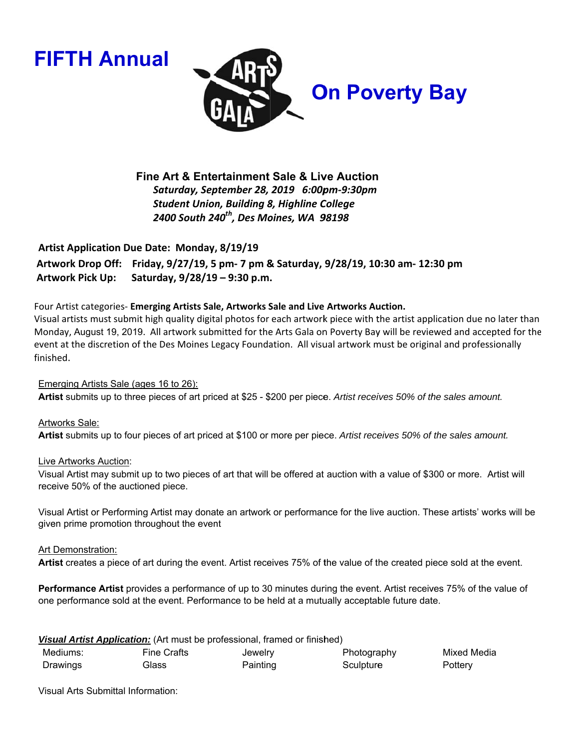**FIFTH Annual** 



Fine Art & Entertainment Sale & Live Auction Saturday, September 28, 2019 6:00pm-9:30pm **Student Union, Building 8, Highline College** 2400 South 240<sup>th</sup>, Des Moines, WA 98198

**Artist Application Due Date: Monday, 8/19/19** 

Artwork Drop Off: Friday, 9/27/19, 5 pm- 7 pm & Saturday, 9/28/19, 10:30 am- 12:30 pm **Artwork Pick Up:** Saturday, 9/28/19 - 9:30 p.m.

# Four Artist categories- Emerging Artists Sale, Artworks Sale and Live Artworks Auction.

Visual artists must submit high quality digital photos for each artwork piece with the artist application due no later than Monday, August 19, 2019. All artwork submitted for the Arts Gala on Poverty Bay will be reviewed and accepted for the event at the discretion of the Des Moines Legacy Foundation. All visual artwork must be original and professionally finished.

# Emerging Artists Sale (ages 16 to 26):

Artist submits up to three pieces of art priced at \$25 - \$200 per piece. Artist receives 50% of the sales amount.

# Artworks Sale:

Artist submits up to four pieces of art priced at \$100 or more per piece. Artist receives 50% of the sales amount.

## Live Artworks Auction:

Visual Artist may submit up to two pieces of art that will be offered at auction with a value of \$300 or more. Artist will receive 50% of the auctioned piece.

Visual Artist or Performing Artist may donate an artwork or performance for the live auction. These artists' works will be given prime promotion throughout the event

## Art Demonstration:

Artist creates a piece of art during the event. Artist receives 75% of the value of the created piece sold at the event.

Performance Artist provides a performance of up to 30 minutes during the event. Artist receives 75% of the value of one performance sold at the event. Performance to be held at a mutually acceptable future date.

| Visual Artist Application: (Art must be professional, framed or finished) |             |          |             |             |  |  |  |  |  |
|---------------------------------------------------------------------------|-------------|----------|-------------|-------------|--|--|--|--|--|
| Mediums:                                                                  | Fine Crafts | Jewelry  | Photography | Mixed Media |  |  |  |  |  |
| Drawings                                                                  | Glass       | Painting | Sculpture   | Pottery     |  |  |  |  |  |

**Visual Arts Submittal Information:**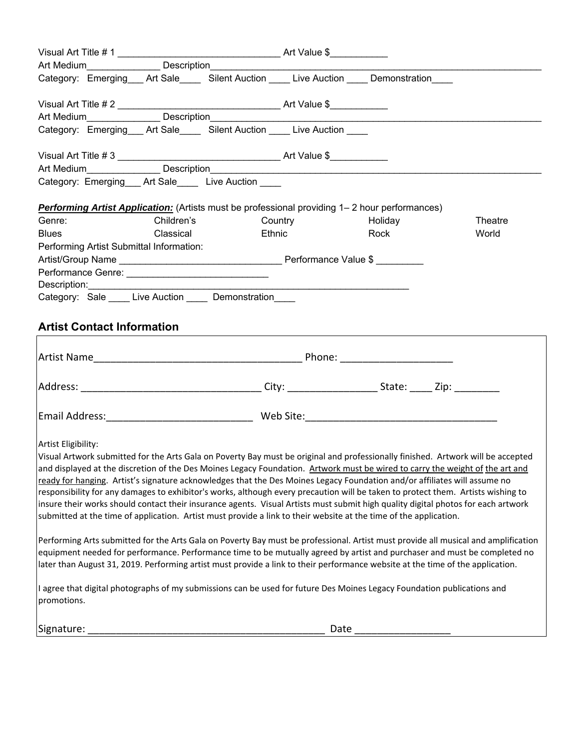|                                                                                                                                                                                                                                                                                                                                                                                                                                                                                                                                                                                                                                                                                                                                                                                                                                                                                                                                                                                                                                                                                                                                                                                                                                                                                                                                                     |                                          | Art Medium Description |                                                     |                                                                            |         |         |  |  |
|-----------------------------------------------------------------------------------------------------------------------------------------------------------------------------------------------------------------------------------------------------------------------------------------------------------------------------------------------------------------------------------------------------------------------------------------------------------------------------------------------------------------------------------------------------------------------------------------------------------------------------------------------------------------------------------------------------------------------------------------------------------------------------------------------------------------------------------------------------------------------------------------------------------------------------------------------------------------------------------------------------------------------------------------------------------------------------------------------------------------------------------------------------------------------------------------------------------------------------------------------------------------------------------------------------------------------------------------------------|------------------------------------------|------------------------|-----------------------------------------------------|----------------------------------------------------------------------------|---------|---------|--|--|
|                                                                                                                                                                                                                                                                                                                                                                                                                                                                                                                                                                                                                                                                                                                                                                                                                                                                                                                                                                                                                                                                                                                                                                                                                                                                                                                                                     |                                          |                        |                                                     | Category: Emerging Art Sale Silent Auction Live Auction Demonstration      |         |         |  |  |
|                                                                                                                                                                                                                                                                                                                                                                                                                                                                                                                                                                                                                                                                                                                                                                                                                                                                                                                                                                                                                                                                                                                                                                                                                                                                                                                                                     |                                          |                        |                                                     |                                                                            |         |         |  |  |
|                                                                                                                                                                                                                                                                                                                                                                                                                                                                                                                                                                                                                                                                                                                                                                                                                                                                                                                                                                                                                                                                                                                                                                                                                                                                                                                                                     |                                          |                        |                                                     |                                                                            |         |         |  |  |
|                                                                                                                                                                                                                                                                                                                                                                                                                                                                                                                                                                                                                                                                                                                                                                                                                                                                                                                                                                                                                                                                                                                                                                                                                                                                                                                                                     |                                          |                        |                                                     | Category: Emerging ___ Art Sale ____ Silent Auction ____ Live Auction ____ |         |         |  |  |
|                                                                                                                                                                                                                                                                                                                                                                                                                                                                                                                                                                                                                                                                                                                                                                                                                                                                                                                                                                                                                                                                                                                                                                                                                                                                                                                                                     |                                          |                        |                                                     |                                                                            |         |         |  |  |
| Category: Emerging __ Art Sale __ Live Auction __ _                                                                                                                                                                                                                                                                                                                                                                                                                                                                                                                                                                                                                                                                                                                                                                                                                                                                                                                                                                                                                                                                                                                                                                                                                                                                                                 |                                          |                        |                                                     |                                                                            |         |         |  |  |
|                                                                                                                                                                                                                                                                                                                                                                                                                                                                                                                                                                                                                                                                                                                                                                                                                                                                                                                                                                                                                                                                                                                                                                                                                                                                                                                                                     |                                          |                        |                                                     |                                                                            |         |         |  |  |
| <b>Performing Artist Application:</b> (Artists must be professional providing 1– 2 hour performances)                                                                                                                                                                                                                                                                                                                                                                                                                                                                                                                                                                                                                                                                                                                                                                                                                                                                                                                                                                                                                                                                                                                                                                                                                                               |                                          |                        |                                                     |                                                                            |         |         |  |  |
| Genre:                                                                                                                                                                                                                                                                                                                                                                                                                                                                                                                                                                                                                                                                                                                                                                                                                                                                                                                                                                                                                                                                                                                                                                                                                                                                                                                                              |                                          | Children's             |                                                     | Country                                                                    | Holiday | Theatre |  |  |
| <b>Blues</b>                                                                                                                                                                                                                                                                                                                                                                                                                                                                                                                                                                                                                                                                                                                                                                                                                                                                                                                                                                                                                                                                                                                                                                                                                                                                                                                                        |                                          | Classical              |                                                     | <b>Ethnic Ethnic</b>                                                       | Rock    | World   |  |  |
|                                                                                                                                                                                                                                                                                                                                                                                                                                                                                                                                                                                                                                                                                                                                                                                                                                                                                                                                                                                                                                                                                                                                                                                                                                                                                                                                                     |                                          |                        |                                                     |                                                                            |         |         |  |  |
|                                                                                                                                                                                                                                                                                                                                                                                                                                                                                                                                                                                                                                                                                                                                                                                                                                                                                                                                                                                                                                                                                                                                                                                                                                                                                                                                                     | Performing Artist Submittal Information: |                        |                                                     |                                                                            |         |         |  |  |
|                                                                                                                                                                                                                                                                                                                                                                                                                                                                                                                                                                                                                                                                                                                                                                                                                                                                                                                                                                                                                                                                                                                                                                                                                                                                                                                                                     |                                          |                        |                                                     |                                                                            |         |         |  |  |
|                                                                                                                                                                                                                                                                                                                                                                                                                                                                                                                                                                                                                                                                                                                                                                                                                                                                                                                                                                                                                                                                                                                                                                                                                                                                                                                                                     |                                          |                        |                                                     |                                                                            |         |         |  |  |
|                                                                                                                                                                                                                                                                                                                                                                                                                                                                                                                                                                                                                                                                                                                                                                                                                                                                                                                                                                                                                                                                                                                                                                                                                                                                                                                                                     |                                          |                        |                                                     |                                                                            |         |         |  |  |
|                                                                                                                                                                                                                                                                                                                                                                                                                                                                                                                                                                                                                                                                                                                                                                                                                                                                                                                                                                                                                                                                                                                                                                                                                                                                                                                                                     |                                          |                        | Category: Sale ____ Live Auction ____ Demonstration |                                                                            |         |         |  |  |
| <b>Artist Contact Information</b>                                                                                                                                                                                                                                                                                                                                                                                                                                                                                                                                                                                                                                                                                                                                                                                                                                                                                                                                                                                                                                                                                                                                                                                                                                                                                                                   |                                          |                        |                                                     |                                                                            |         |         |  |  |
|                                                                                                                                                                                                                                                                                                                                                                                                                                                                                                                                                                                                                                                                                                                                                                                                                                                                                                                                                                                                                                                                                                                                                                                                                                                                                                                                                     |                                          |                        |                                                     |                                                                            |         |         |  |  |
|                                                                                                                                                                                                                                                                                                                                                                                                                                                                                                                                                                                                                                                                                                                                                                                                                                                                                                                                                                                                                                                                                                                                                                                                                                                                                                                                                     |                                          |                        |                                                     |                                                                            |         |         |  |  |
|                                                                                                                                                                                                                                                                                                                                                                                                                                                                                                                                                                                                                                                                                                                                                                                                                                                                                                                                                                                                                                                                                                                                                                                                                                                                                                                                                     |                                          |                        |                                                     |                                                                            |         |         |  |  |
|                                                                                                                                                                                                                                                                                                                                                                                                                                                                                                                                                                                                                                                                                                                                                                                                                                                                                                                                                                                                                                                                                                                                                                                                                                                                                                                                                     |                                          |                        |                                                     |                                                                            |         |         |  |  |
| Artist Eligibility:<br>Visual Artwork submitted for the Arts Gala on Poverty Bay must be original and professionally finished. Artwork will be accepted<br>and displayed at the discretion of the Des Moines Legacy Foundation. Artwork must be wired to carry the weight of the art and<br>ready for hanging. Artist's signature acknowledges that the Des Moines Legacy Foundation and/or affiliates will assume no<br>responsibility for any damages to exhibitor's works, although every precaution will be taken to protect them. Artists wishing to<br>insure their works should contact their insurance agents. Visual Artists must submit high quality digital photos for each artwork<br>submitted at the time of application. Artist must provide a link to their website at the time of the application.<br>Performing Arts submitted for the Arts Gala on Poverty Bay must be professional. Artist must provide all musical and amplification<br>equipment needed for performance. Performance time to be mutually agreed by artist and purchaser and must be completed no<br>later than August 31, 2019. Performing artist must provide a link to their performance website at the time of the application.<br>I agree that digital photographs of my submissions can be used for future Des Moines Legacy Foundation publications and |                                          |                        |                                                     |                                                                            |         |         |  |  |
| promotions.                                                                                                                                                                                                                                                                                                                                                                                                                                                                                                                                                                                                                                                                                                                                                                                                                                                                                                                                                                                                                                                                                                                                                                                                                                                                                                                                         |                                          |                        |                                                     |                                                                            |         |         |  |  |
| Signature:                                                                                                                                                                                                                                                                                                                                                                                                                                                                                                                                                                                                                                                                                                                                                                                                                                                                                                                                                                                                                                                                                                                                                                                                                                                                                                                                          |                                          |                        |                                                     | Date                                                                       |         |         |  |  |